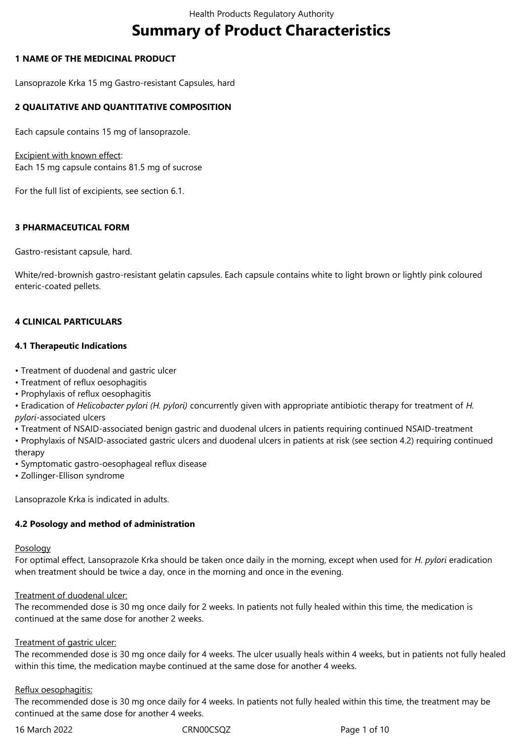# **Summary of Product Characteristics**

## **1 NAME OF THE MEDICINAL PRODUCT**

Lansoprazole Krka 15 mg Gastro-resistant Capsules, hard

## **2 QUALITATIVE AND QUANTITATIVE COMPOSITION**

Each capsule contains 15 mg of lansoprazole.

Excipient with known effect: Each 15 mg capsule contains 81.5 mg of sucrose

For the full list of excipients, see section 6.1.

## **3 PHARMACEUTICAL FORM**

Gastro-resistant capsule, hard.

White/red-brownish gastro-resistant gelatin capsules. Each capsule contains white to light brown or lightly pink coloured enteric-coated pellets.

## **4 CLINICAL PARTICULARS**

## **4.1 Therapeutic Indications**

- Treatment of duodenal and gastric ulcer
- Treatment of reflux oesophagitis
- Prophylaxis of reflux oesophagitis

• Eradication of *Helicobacter pylori (H. pylori)* concurrently given with appropriate antibiotic therapy for treatment of *H. pylori-*associated ulcers

• Treatment of NSAID-associated benign gastric and duodenal ulcers in patients requiring continued NSAID-treatment

• Prophylaxis of NSAID-associated gastric ulcers and duodenal ulcers in patients at risk (see section 4.2) requiring continued therapy

- Symptomatic gastro-oesophageal reflux disease
- Zollinger-Ellison syndrome

Lansoprazole Krka is indicated in adults.

## **4.2 Posology and method of administration**

#### **Posology**

For optimal effect, Lansoprazole Krka should be taken once daily in the morning, except when used for *H. pylori* eradication when treatment should be twice a day, once in the morning and once in the evening.

## Treatment of duodenal ulcer:

The recommended dose is 30 mg once daily for 2 weeks. In patients not fully healed within this time, the medication is continued at the same dose for another 2 weeks.

## Treatment of gastric ulcer:

The recommended dose is 30 mg once daily for 4 weeks. The ulcer usually heals within 4 weeks, but in patients not fully healed within this time, the medication maybe continued at the same dose for another 4 weeks.

## Reflux oesophagitis:

The recommended dose is 30 mg once daily for 4 weeks. In patients not fully healed within this time, the treatment may be continued at the same dose for another 4 weeks.

16 March 2022 CRN00CSQZ Page 1 of 10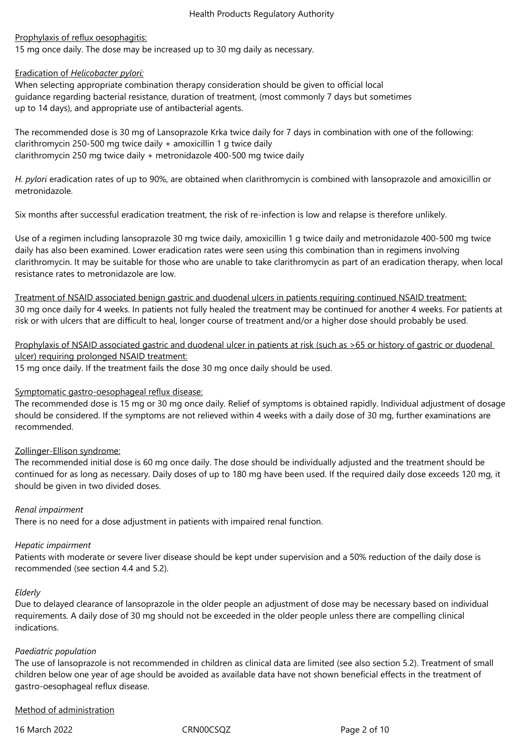## Prophylaxis of reflux oesophagitis:

15 mg once daily. The dose may be increased up to 30 mg daily as necessary.

## Eradication of *Helicobacter pylori:*

When selecting appropriate combination therapy consideration should be given to official local guidance regarding bacterial resistance, duration of treatment, (most commonly 7 days but sometimes up to 14 days), and appropriate use of antibacterial agents.

The recommended dose is 30 mg of Lansoprazole Krka twice daily for 7 days in combination with one of the following: clarithromycin 250-500 mg twice daily + amoxicillin 1 g twice daily clarithromycin 250 mg twice daily + metronidazole 400-500 mg twice daily

*H. pylori* eradication rates of up to 90%, are obtained when clarithromycin is combined with lansoprazole and amoxicillin or metronidazole.

Six months after successful eradication treatment, the risk of re-infection is low and relapse is therefore unlikely.

Use of a regimen including lansoprazole 30 mg twice daily, amoxicillin 1 g twice daily and metronidazole 400-500 mg twice daily has also been examined. Lower eradication rates were seen using this combination than in regimens involving clarithromycin. It may be suitable for those who are unable to take clarithromycin as part of an eradication therapy, when local resistance rates to metronidazole are low.

Treatment of NSAID associated benign gastric and duodenal ulcers in patients requiring continued NSAID treatment: 30 mg once daily for 4 weeks. In patients not fully healed the treatment may be continued for another 4 weeks. For patients at risk or with ulcers that are difficult to heal, longer course of treatment and/or a higher dose should probably be used.

Prophylaxis of NSAID associated gastric and duodenal ulcer in patients at risk (such as >65 or history of gastric or duodenal ulcer) requiring prolonged NSAID treatment:

15 mg once daily. If the treatment fails the dose 30 mg once daily should be used.

# Symptomatic gastro-oesophageal reflux disease:

The recommended dose is 15 mg or 30 mg once daily. Relief of symptoms is obtained rapidly. Individual adjustment of dosage should be considered. If the symptoms are not relieved within 4 weeks with a daily dose of 30 mg, further examinations are recommended.

# Zollinger-Ellison syndrome:

The recommended initial dose is 60 mg once daily. The dose should be individually adjusted and the treatment should be continued for as long as necessary. Daily doses of up to 180 mg have been used. If the required daily dose exceeds 120 mg, it should be given in two divided doses.

## *Renal impairment*

There is no need for a dose adjustment in patients with impaired renal function.

## *Hepatic impairment*

Patients with moderate or severe liver disease should be kept under supervision and a 50% reduction of the daily dose is recommended (see section 4.4 and 5.2).

## *Elderly*

Due to delayed clearance of lansoprazole in the older people an adjustment of dose may be necessary based on individual requirements. A daily dose of 30 mg should not be exceeded in the older people unless there are compelling clinical indications.

## *Paediatric population*

The use of lansoprazole is not recommended in children as clinical data are limited (see also section 5.2). Treatment of small children below one year of age should be avoided as available data have not shown beneficial effects in the treatment of gastro-oesophageal reflux disease.

## Method of administration

16 March 2022 CRN00CSQZ Page 2 of 10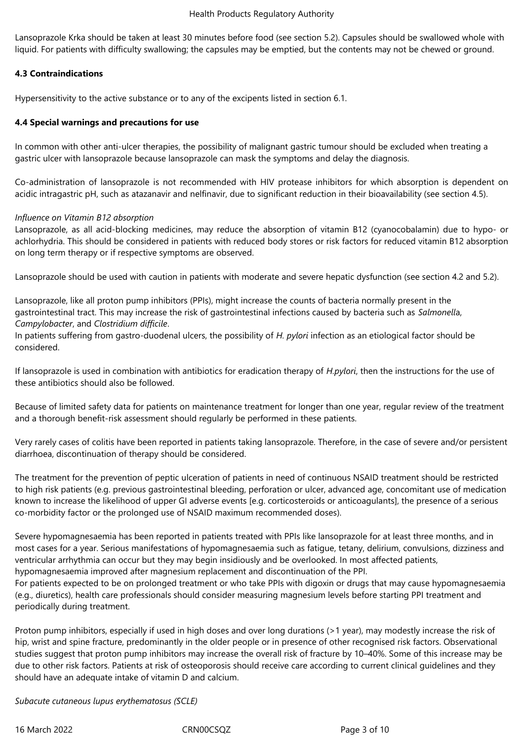Lansoprazole Krka should be taken at least 30 minutes before food (see section 5.2). Capsules should be swallowed whole with liquid. For patients with difficulty swallowing; the capsules may be emptied, but the contents may not be chewed or ground.

# **4.3 Contraindications**

Hypersensitivity to the active substance or to any of the excipents listed in section 6.1.

## **4.4 Special warnings and precautions for use**

In common with other anti-ulcer therapies, the possibility of malignant gastric tumour should be excluded when treating a gastric ulcer with lansoprazole because lansoprazole can mask the symptoms and delay the diagnosis.

Co-administration of lansoprazole is not recommended with HIV protease inhibitors for which absorption is dependent on acidic intragastric pH, such as atazanavir and nelfinavir, due to significant reduction in their bioavailability (see section 4.5).

## *Influence on Vitamin B12 absorption*

Lansoprazole, as all acid-blocking medicines, may reduce the absorption of vitamin B12 (cyanocobalamin) due to hypo- or achlorhydria. This should be considered in patients with reduced body stores or risk factors for reduced vitamin B12 absorption on long term therapy or if respective symptoms are observed.

Lansoprazole should be used with caution in patients with moderate and severe hepatic dysfunction (see section 4.2 and 5.2).

Lansoprazole, like all proton pump inhibitors (PPIs), might increase the counts of bacteria normally present in the gastrointestinal tract. This may increase the risk of gastrointestinal infections caused by bacteria such as *Salmonell*a, *Campylobacter*, and *Clostridium difficile*.

In patients suffering from gastro-duodenal ulcers, the possibility of *H. pylori* infection as an etiological factor should be considered.

If lansoprazole is used in combination with antibiotics for eradication therapy of *H.pylori*, then the instructions for the use of these antibiotics should also be followed.

Because of limited safety data for patients on maintenance treatment for longer than one year, regular review of the treatment and a thorough benefit-risk assessment should regularly be performed in these patients.

Very rarely cases of colitis have been reported in patients taking lansoprazole. Therefore, in the case of severe and/or persistent diarrhoea, discontinuation of therapy should be considered.

The treatment for the prevention of peptic ulceration of patients in need of continuous NSAID treatment should be restricted to high risk patients (e.g. previous gastrointestinal bleeding, perforation or ulcer, advanced age, concomitant use of medication known to increase the likelihood of upper GI adverse events [e.g. corticosteroids or anticoagulants], the presence of a serious co-morbidity factor or the prolonged use of NSAID maximum recommended doses).

Severe hypomagnesaemia has been reported in patients treated with PPIs like lansoprazole for at least three months, and in most cases for a year. Serious manifestations of hypomagnesaemia such as fatigue, tetany, delirium, convulsions, dizziness and ventricular arrhythmia can occur but they may begin insidiously and be overlooked. In most affected patients, hypomagnesaemia improved after magnesium replacement and discontinuation of the PPI.

For patients expected to be on prolonged treatment or who take PPIs with digoxin or drugs that may cause hypomagnesaemia (e.g., diuretics), health care professionals should consider measuring magnesium levels before starting PPI treatment and periodically during treatment.

Proton pump inhibitors, especially if used in high doses and over long durations (>1 year), may modestly increase the risk of hip, wrist and spine fracture, predominantly in the older people or in presence of other recognised risk factors. Observational studies suggest that proton pump inhibitors may increase the overall risk of fracture by 10–40%. Some of this increase may be due to other risk factors. Patients at risk of osteoporosis should receive care according to current clinical guidelines and they should have an adequate intake of vitamin D and calcium.

*Subacute cutaneous lupus erythematosus (SCLE)*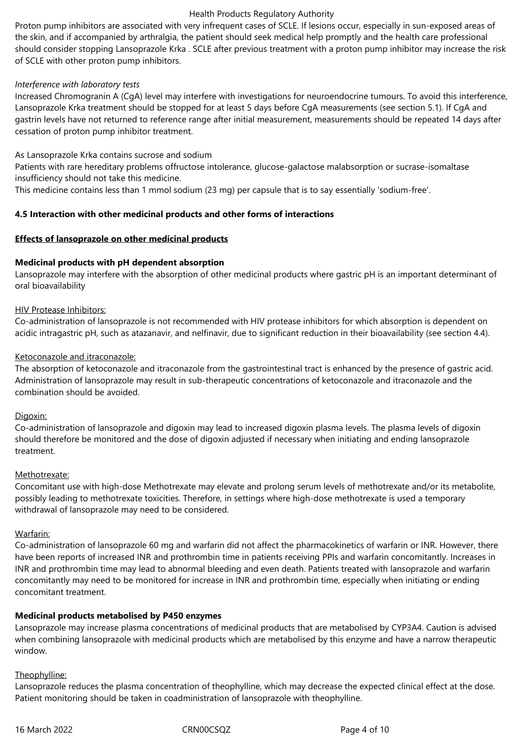#### Health Products Regulatory Authority

Proton pump inhibitors are associated with very infrequent cases of SCLE. If lesions occur, especially in sun-exposed areas of the skin, and if accompanied by arthralgia, the patient should seek medical help promptly and the health care professional should consider stopping Lansoprazole Krka . SCLE after previous treatment with a proton pump inhibitor may increase the risk of SCLE with other proton pump inhibitors.

## *Interference with laboratory tests*

Increased Chromogranin A (CgA) level may interfere with investigations for neuroendocrine tumours. To avoid this interference, Lansoprazole Krka treatment should be stopped for at least 5 days before CgA measurements (see section 5.1). If CgA and gastrin levels have not returned to reference range after initial measurement, measurements should be repeated 14 days after cessation of proton pump inhibitor treatment.

As Lansoprazole Krka contains sucrose and sodium

Patients with rare hereditary problems offructose intolerance, glucose-galactose malabsorption or sucrase-isomaltase insufficiency should not take this medicine.

This medicine contains less than 1 mmol sodium (23 mg) per capsule that is to say essentially 'sodium-free'.

## **4.5 Interaction with other medicinal products and other forms of interactions**

## **Effects of lansoprazole on other medicinal products**

## **Medicinal products with pH dependent absorption**

Lansoprazole may interfere with the absorption of other medicinal products where gastric pH is an important determinant of oral bioavailability

## HIV Protease Inhibitors:

Co-administration of lansoprazole is not recommended with HIV protease inhibitors for which absorption is dependent on acidic intragastric pH, such as atazanavir, and nelfinavir, due to significant reduction in their bioavailability (see section 4.4).

## Ketoconazole and itraconazole:

The absorption of ketoconazole and itraconazole from the gastrointestinal tract is enhanced by the presence of gastric acid. Administration of lansoprazole may result in sub-therapeutic concentrations of ketoconazole and itraconazole and the combination should be avoided.

## Digoxin:

Co-administration of lansoprazole and digoxin may lead to increased digoxin plasma levels. The plasma levels of digoxin should therefore be monitored and the dose of digoxin adjusted if necessary when initiating and ending lansoprazole treatment.

## Methotrexate:

Concomitant use with high-dose Methotrexate may elevate and prolong serum levels of methotrexate and/or its metabolite, possibly leading to methotrexate toxicities. Therefore, in settings where high-dose methotrexate is used a temporary withdrawal of lansoprazole may need to be considered.

## Warfarin:

Co-administration of lansoprazole 60 mg and warfarin did not affect the pharmacokinetics of warfarin or INR. However, there have been reports of increased INR and prothrombin time in patients receiving PPIs and warfarin concomitantly. Increases in INR and prothrombin time may lead to abnormal bleeding and even death. Patients treated with lansoprazole and warfarin concomitantly may need to be monitored for increase in INR and prothrombin time, especially when initiating or ending concomitant treatment.

## **Medicinal products metabolised by P450 enzymes**

Lansoprazole may increase plasma concentrations of medicinal products that are metabolised by CYP3A4. Caution is advised when combining lansoprazole with medicinal products which are metabolised by this enzyme and have a narrow therapeutic window.

## Theophylline:

Lansoprazole reduces the plasma concentration of theophylline, which may decrease the expected clinical effect at the dose. Patient monitoring should be taken in coadministration of lansoprazole with theophylline.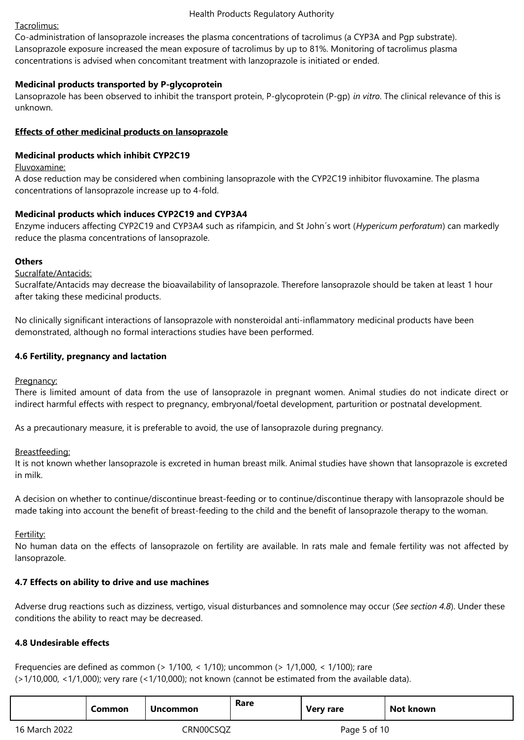#### Health Products Regulatory Authority

## Tacrolimus:

Co-administration of lansoprazole increases the plasma concentrations of tacrolimus (a CYP3A and Pgp substrate). Lansoprazole exposure increased the mean exposure of tacrolimus by up to 81%. Monitoring of tacrolimus plasma concentrations is advised when concomitant treatment with lanzoprazole is initiated or ended.

## **Medicinal products transported by P-glycoprotein**

Lansoprazole has been observed to inhibit the transport protein, P-glycoprotein (P-gp) *in vitro*. The clinical relevance of this is unknown.

## **Effects of other medicinal products on lansoprazole**

## **Medicinal products which inhibit CYP2C19**

#### Fluvoxamine:

A dose reduction may be considered when combining lansoprazole with the CYP2C19 inhibitor fluvoxamine. The plasma concentrations of lansoprazole increase up to 4-fold.

## **Medicinal products which induces CYP2C19 and CYP3A4**

Enzyme inducers affecting CYP2C19 and CYP3A4 such as rifampicin, and St John´s wort (*Hypericum perforatum*) can markedly reduce the plasma concentrations of lansoprazole.

## **Others**

## Sucralfate/Antacids:

Sucralfate/Antacids may decrease the bioavailability of lansoprazole. Therefore lansoprazole should be taken at least 1 hour after taking these medicinal products.

No clinically significant interactions of lansoprazole with nonsteroidal anti-inflammatory medicinal products have been demonstrated, although no formal interactions studies have been performed.

## **4.6 Fertility, pregnancy and lactation**

## Pregnancy:

There is limited amount of data from the use of lansoprazole in pregnant women. Animal studies do not indicate direct or indirect harmful effects with respect to pregnancy, embryonal/foetal development, parturition or postnatal development.

As a precautionary measure, it is preferable to avoid, the use of lansoprazole during pregnancy.

## Breastfeeding:

It is not known whether lansoprazole is excreted in human breast milk. Animal studies have shown that lansoprazole is excreted in milk.

A decision on whether to continue/discontinue breast-feeding or to continue/discontinue therapy with lansoprazole should be made taking into account the benefit of breast-feeding to the child and the benefit of lansoprazole therapy to the woman.

## Fertility:

No human data on the effects of lansoprazole on fertility are available. In rats male and female fertility was not affected by lansoprazole.

## **4.7 Effects on ability to drive and use machines**

Adverse drug reactions such as dizziness, vertigo, visual disturbances and somnolence may occur (*See section 4.8*). Under these conditions the ability to react may be decreased.

# **4.8 Undesirable effects**

Frequencies are defined as common (> 1/100, < 1/10); uncommon (> 1/1,000, < 1/100); rare (>1/10,000, <1/1,000); very rare (<1/10,000); not known (cannot be estimated from the available data).

|               | Common | <b>Uncommon</b> | Rare | <b>Very rare</b> | Not known |
|---------------|--------|-----------------|------|------------------|-----------|
| 16 March 2022 |        | CRN00CSQZ       |      | Page 5 of 10     |           |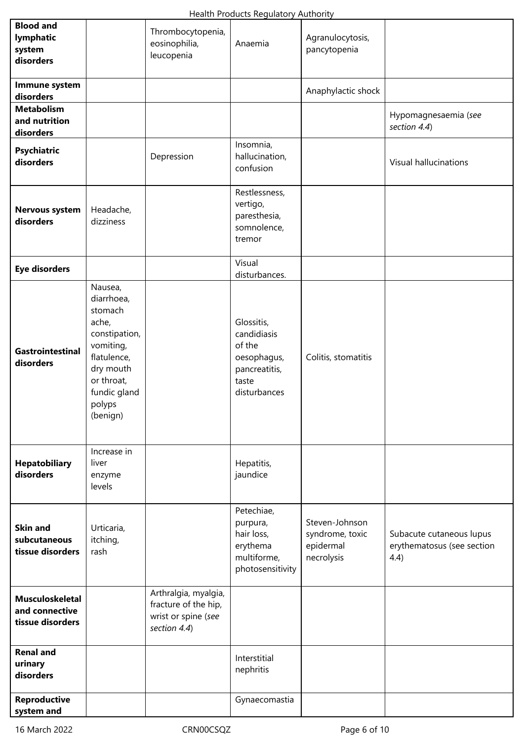| <b>Blood and</b><br>lymphatic<br>system<br>disorders         |                                                                                                                                                         | Thrombocytopenia,<br>eosinophilia,<br>leucopenia                                    | Anaemia                                                                                      | Agranulocytosis,<br>pancytopenia                             |                                                                |
|--------------------------------------------------------------|---------------------------------------------------------------------------------------------------------------------------------------------------------|-------------------------------------------------------------------------------------|----------------------------------------------------------------------------------------------|--------------------------------------------------------------|----------------------------------------------------------------|
| Immune system<br>disorders                                   |                                                                                                                                                         |                                                                                     |                                                                                              | Anaphylactic shock                                           |                                                                |
| <b>Metabolism</b><br>and nutrition<br>disorders              |                                                                                                                                                         |                                                                                     |                                                                                              |                                                              | Hypomagnesaemia (see<br>section 4.4)                           |
| <b>Psychiatric</b><br>disorders                              |                                                                                                                                                         | Depression                                                                          | Insomnia,<br>hallucination,<br>confusion                                                     |                                                              | Visual hallucinations                                          |
| <b>Nervous system</b><br>disorders                           | Headache,<br>dizziness                                                                                                                                  |                                                                                     | Restlessness,<br>vertigo,<br>paresthesia,<br>somnolence,<br>tremor                           |                                                              |                                                                |
| <b>Eye disorders</b>                                         |                                                                                                                                                         |                                                                                     | Visual<br>disturbances.                                                                      |                                                              |                                                                |
| Gastrointestinal<br>disorders                                | Nausea,<br>diarrhoea,<br>stomach<br>ache,<br>constipation,<br>vomiting,<br>flatulence,<br>dry mouth<br>or throat,<br>fundic gland<br>polyps<br>(benign) |                                                                                     | Glossitis,<br>candidiasis<br>of the<br>oesophagus,<br>pancreatitis,<br>taste<br>disturbances | Colitis, stomatitis                                          |                                                                |
| Hepatobiliary<br>disorders                                   | Increase in<br>liver<br>enzyme<br>levels                                                                                                                |                                                                                     | Hepatitis,<br>jaundice                                                                       |                                                              |                                                                |
| <b>Skin and</b><br>subcutaneous<br>tissue disorders          | Urticaria,<br>itching,<br>rash                                                                                                                          |                                                                                     | Petechiae,<br>purpura,<br>hair loss,<br>erythema<br>multiforme,<br>photosensitivity          | Steven-Johnson<br>syndrome, toxic<br>epidermal<br>necrolysis | Subacute cutaneous lupus<br>erythematosus (see section<br>4.4) |
| <b>Musculoskeletal</b><br>and connective<br>tissue disorders |                                                                                                                                                         | Arthralgia, myalgia,<br>fracture of the hip,<br>wrist or spine (see<br>section 4.4) |                                                                                              |                                                              |                                                                |
| <b>Renal and</b><br>urinary<br>disorders                     |                                                                                                                                                         |                                                                                     | Interstitial<br>nephritis                                                                    |                                                              |                                                                |
| Reproductive<br>system and                                   |                                                                                                                                                         |                                                                                     | Gynaecomastia                                                                                |                                                              |                                                                |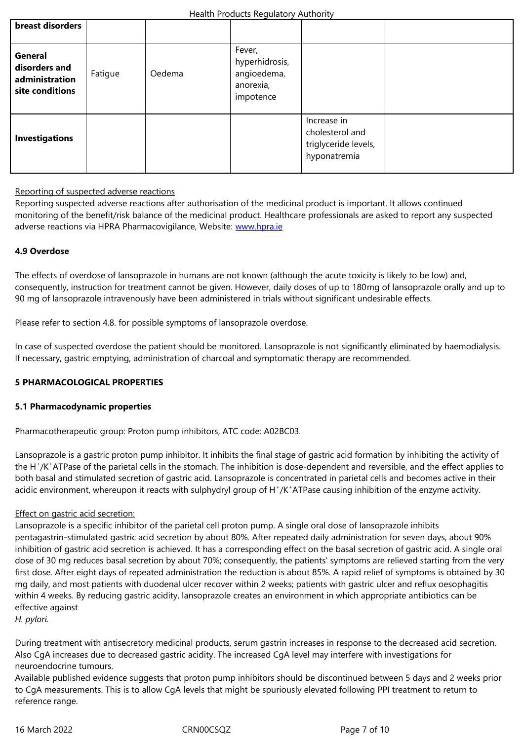| General<br>disorders and<br>administration<br>site conditions | Fatigue | Oedema | Fever,<br>hyperhidrosis,<br>angioedema,<br>anorexia,<br>impotence |                                                                        |  |
|---------------------------------------------------------------|---------|--------|-------------------------------------------------------------------|------------------------------------------------------------------------|--|
| <b>Investigations</b>                                         |         |        |                                                                   | Increase in<br>cholesterol and<br>triglyceride levels,<br>hyponatremia |  |

## Reporting of suspected adverse reactions

Reporting suspected adverse reactions after authorisation of the medicinal product is important. It allows continued monitoring of the benefit/risk balance of the medicinal product. Healthcare professionals are asked to report any suspected adverse reactions via HPRA Pharmacovigilance, Website: www.hpra.ie

## **4.9 Overdose**

The effects of overdose of lansoprazole in humans are n[ot known \(alt](http://www.hpra.ie/)hough the acute toxicity is likely to be low) and, consequently, instruction for treatment cannot be given. However, daily doses of up to 180mg of lansoprazole orally and up to 90 mg of lansoprazole intravenously have been administered in trials without significant undesirable effects.

Please refer to section 4.8. for possible symptoms of lansoprazole overdose.

In case of suspected overdose the patient should be monitored. Lansoprazole is not significantly eliminated by haemodialysis. If necessary, gastric emptying, administration of charcoal and symptomatic therapy are recommended.

## **5 PHARMACOLOGICAL PROPERTIES**

## **5.1 Pharmacodynamic properties**

Pharmacotherapeutic group: Proton pump inhibitors, ATC code: A02BC03.

Lansoprazole is a gastric proton pump inhibitor. It inhibits the final stage of gastric acid formation by inhibiting the activity of the H<sup>+</sup>/K<sup>+</sup>ATPase of the parietal cells in the stomach. The inhibition is dose-dependent and reversible, and the effect applies to both basal and stimulated secretion of gastric acid. Lansoprazole is concentrated in parietal cells and becomes active in their acidic environment, whereupon it reacts with sulphydryl group of H<sup>+</sup>/K<sup>+</sup>ATPase causing inhibition of the enzyme activity.

## Effect on gastric acid secretion:

Lansoprazole is a specific inhibitor of the parietal cell proton pump. A single oral dose of lansoprazole inhibits pentagastrin-stimulated gastric acid secretion by about 80%. After repeated daily administration for seven days, about 90% inhibition of gastric acid secretion is achieved. It has a corresponding effect on the basal secretion of gastric acid. A single oral dose of 30 mg reduces basal secretion by about 70%; consequently, the patients' symptoms are relieved starting from the very first dose. After eight days of repeated administration the reduction is about 85%. A rapid relief of symptoms is obtained by 30 mg daily, and most patients with duodenal ulcer recover within 2 weeks; patients with gastric ulcer and reflux oesophagitis within 4 weeks. By reducing gastric acidity, lansoprazole creates an environment in which appropriate antibiotics can be effective against

*H. pylori.*

During treatment with antisecretory medicinal products, serum gastrin increases in response to the decreased acid secretion. Also CgA increases due to decreased gastric acidity. The increased CgA level may interfere with investigations for neuroendocrine tumours.

Available published evidence suggests that proton pump inhibitors should be discontinued between 5 days and 2 weeks prior to CgA measurements. This is to allow CgA levels that might be spuriously elevated following PPI treatment to return to reference range.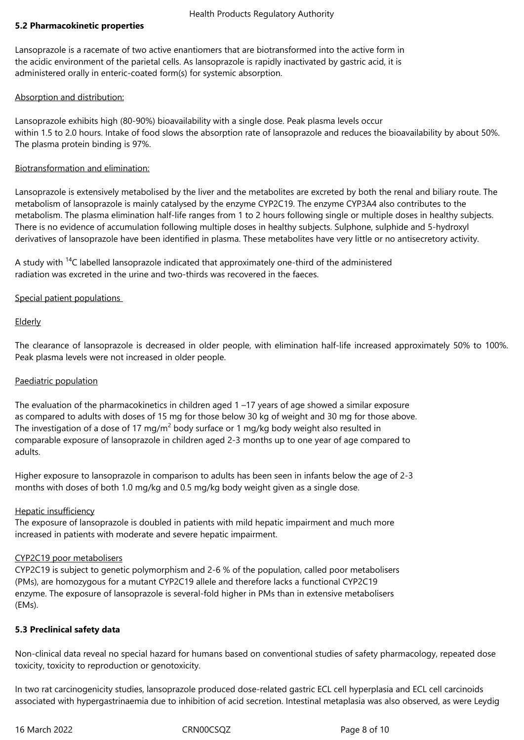## **5.2 Pharmacokinetic properties**

Lansoprazole is a racemate of two active enantiomers that are biotransformed into the active form in the acidic environment of the parietal cells. As lansoprazole is rapidly inactivated by gastric acid, it is administered orally in enteric-coated form(s) for systemic absorption.

## Absorption and distribution:

Lansoprazole exhibits high (80-90%) bioavailability with a single dose. Peak plasma levels occur within 1.5 to 2.0 hours. Intake of food slows the absorption rate of lansoprazole and reduces the bioavailability by about 50%. The plasma protein binding is 97%.

## Biotransformation and elimination:

Lansoprazole is extensively metabolised by the liver and the metabolites are excreted by both the renal and biliary route. The metabolism of lansoprazole is mainly catalysed by the enzyme CYP2C19. The enzyme CYP3A4 also contributes to the metabolism. The plasma elimination half-life ranges from 1 to 2 hours following single or multiple doses in healthy subjects. There is no evidence of accumulation following multiple doses in healthy subjects. Sulphone, sulphide and 5-hydroxyl derivatives of lansoprazole have been identified in plasma. These metabolites have very little or no antisecretory activity.

A study with <sup>14</sup>C labelled lansoprazole indicated that approximately one-third of the administered radiation was excreted in the urine and two-thirds was recovered in the faeces.

# Special patient populations

# **Elderly**

The clearance of lansoprazole is decreased in older people, with elimination half-life increased approximately 50% to 100%. Peak plasma levels were not increased in older people.

## Paediatric population

The evaluation of the pharmacokinetics in children aged 1 –17 years of age showed a similar exposure as compared to adults with doses of 15 mg for those below 30 kg of weight and 30 mg for those above. The investigation of a dose of 17 mg/m<sup>2</sup> body surface or 1 mg/kg body weight also resulted in comparable exposure of lansoprazole in children aged 2-3 months up to one year of age compared to adults.

Higher exposure to lansoprazole in comparison to adults has been seen in infants below the age of 2-3 months with doses of both 1.0 mg/kg and 0.5 mg/kg body weight given as a single dose.

## Hepatic insufficiency

The exposure of lansoprazole is doubled in patients with mild hepatic impairment and much more increased in patients with moderate and severe hepatic impairment.

## CYP2C19 poor metabolisers

CYP2C19 is subject to genetic polymorphism and 2-6 % of the population, called poor metabolisers (PMs), are homozygous for a mutant CYP2C19 allele and therefore lacks a functional CYP2C19 enzyme. The exposure of lansoprazole is several-fold higher in PMs than in extensive metabolisers (EMs).

# **5.3 Preclinical safety data**

Non-clinical data reveal no special hazard for humans based on conventional studies of safety pharmacology, repeated dose toxicity, toxicity to reproduction or genotoxicity.

In two rat carcinogenicity studies, lansoprazole produced dose-related gastric ECL cell hyperplasia and ECL cell carcinoids associated with hypergastrinaemia due to inhibition of acid secretion. Intestinal metaplasia was also observed, as were Leydig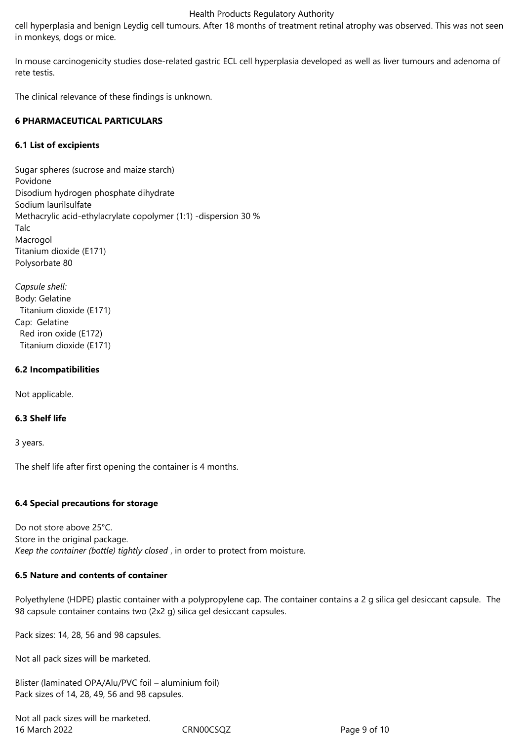#### Health Products Regulatory Authority

cell hyperplasia and benign Leydig cell tumours. After 18 months of treatment retinal atrophy was observed. This was not seen in monkeys, dogs or mice.

In mouse carcinogenicity studies dose-related gastric ECL cell hyperplasia developed as well as liver tumours and adenoma of rete testis.

The clinical relevance of these findings is unknown.

## **6 PHARMACEUTICAL PARTICULARS**

## **6.1 List of excipients**

Sugar spheres (sucrose and maize starch) Povidone Disodium hydrogen phosphate dihydrate Sodium laurilsulfate Methacrylic acid-ethylacrylate copolymer (1:1) -dispersion 30 % Talc Macrogol Titanium dioxide (E171) Polysorbate 80

*Capsule shell:* Body: Gelatine Titanium dioxide (E171) Cap: Gelatine Red iron oxide (E172) Titanium dioxide (E171)

## **6.2 Incompatibilities**

Not applicable.

## **6.3 Shelf life**

3 years.

The shelf life after first opening the container is 4 months.

## **6.4 Special precautions for storage**

Do not store above 25°C. Store in the original package. *Keep the container (bottle) tightly closed* , in order to protect from moisture*.* 

## **6.5 Nature and contents of container**

Polyethylene (HDPE) plastic container with a polypropylene cap. The container contains a 2 g silica gel desiccant capsule. The 98 capsule container contains two (2x2 g) silica gel desiccant capsules.

Pack sizes: 14, 28, 56 and 98 capsules.

Not all pack sizes will be marketed.

Blister (laminated OPA/Alu/PVC foil – aluminium foil) Pack sizes of 14, 28, 49, 56 and 98 capsules.

16 March 2022 **CRNOOCSQZ** Page 9 of 10 Not all pack sizes will be marketed.